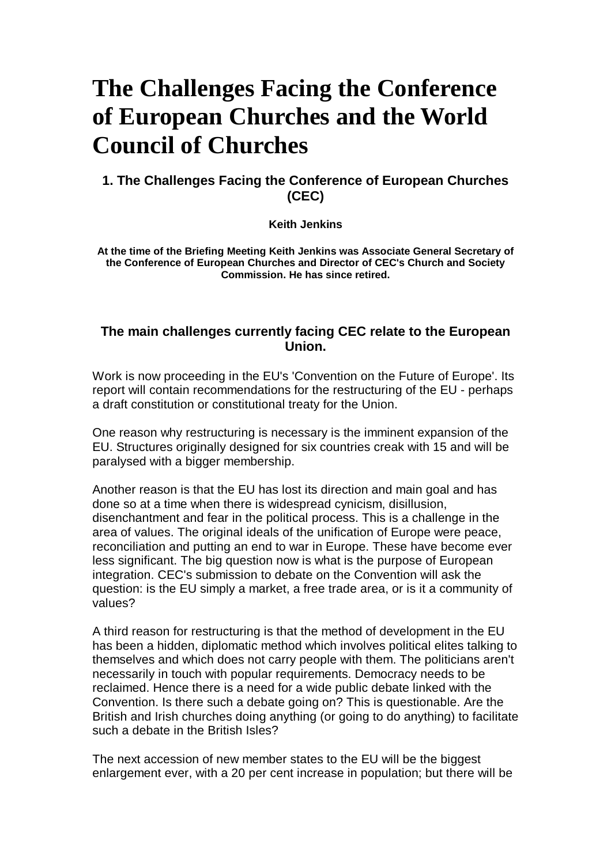# **The Challenges Facing the Conference of European Churches and the World Council of Churches**

## **1. The Challenges Facing the Conference of European Churches (CEC)**

**Keith Jenkins** 

**At the time of the Briefing Meeting Keith Jenkins was Associate General Secretary of the Conference of European Churches and Director of CEC's Church and Society Commission. He has since retired.** 

### **The main challenges currently facing CEC relate to the European Union.**

Work is now proceeding in the EU's 'Convention on the Future of Europe'. Its report will contain recommendations for the restructuring of the EU - perhaps a draft constitution or constitutional treaty for the Union.

One reason why restructuring is necessary is the imminent expansion of the EU. Structures originally designed for six countries creak with 15 and will be paralysed with a bigger membership.

Another reason is that the EU has lost its direction and main goal and has done so at a time when there is widespread cynicism, disillusion, disenchantment and fear in the political process. This is a challenge in the area of values. The original ideals of the unification of Europe were peace, reconciliation and putting an end to war in Europe. These have become ever less significant. The big question now is what is the purpose of European integration. CEC's submission to debate on the Convention will ask the question: is the EU simply a market, a free trade area, or is it a community of values?

A third reason for restructuring is that the method of development in the EU has been a hidden, diplomatic method which involves political elites talking to themselves and which does not carry people with them. The politicians aren't necessarily in touch with popular requirements. Democracy needs to be reclaimed. Hence there is a need for a wide public debate linked with the Convention. Is there such a debate going on? This is questionable. Are the British and Irish churches doing anything (or going to do anything) to facilitate such a debate in the British Isles?

The next accession of new member states to the EU will be the biggest enlargement ever, with a 20 per cent increase in population; but there will be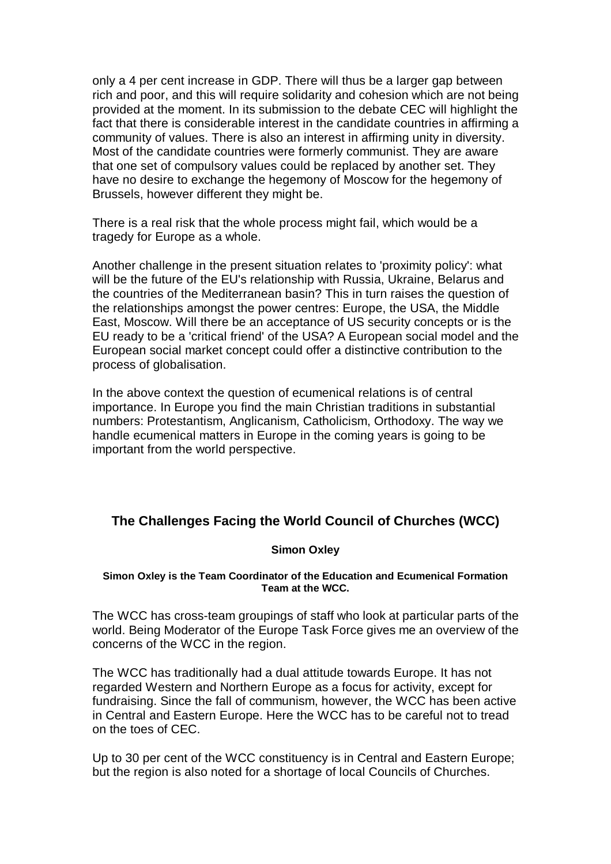only a 4 per cent increase in GDP. There will thus be a larger gap between rich and poor, and this will require solidarity and cohesion which are not being provided at the moment. In its submission to the debate CEC will highlight the fact that there is considerable interest in the candidate countries in affirming a community of values. There is also an interest in affirming unity in diversity. Most of the candidate countries were formerly communist. They are aware that one set of compulsory values could be replaced by another set. They have no desire to exchange the hegemony of Moscow for the hegemony of Brussels, however different they might be.

There is a real risk that the whole process might fail, which would be a tragedy for Europe as a whole.

Another challenge in the present situation relates to 'proximity policy': what will be the future of the EU's relationship with Russia, Ukraine, Belarus and the countries of the Mediterranean basin? This in turn raises the question of the relationships amongst the power centres: Europe, the USA, the Middle East, Moscow. Will there be an acceptance of US security concepts or is the EU ready to be a 'critical friend' of the USA? A European social model and the European social market concept could offer a distinctive contribution to the process of globalisation.

In the above context the question of ecumenical relations is of central importance. In Europe you find the main Christian traditions in substantial numbers: Protestantism, Anglicanism, Catholicism, Orthodoxy. The way we handle ecumenical matters in Europe in the coming years is going to be important from the world perspective.

# **The Challenges Facing the World Council of Churches (WCC)**

#### **Simon Oxley**

#### **Simon Oxley is the Team Coordinator of the Education and Ecumenical Formation Team at the WCC.**

The WCC has cross-team groupings of staff who look at particular parts of the world. Being Moderator of the Europe Task Force gives me an overview of the concerns of the WCC in the region.

The WCC has traditionally had a dual attitude towards Europe. It has not regarded Western and Northern Europe as a focus for activity, except for fundraising. Since the fall of communism, however, the WCC has been active in Central and Eastern Europe. Here the WCC has to be careful not to tread on the toes of CEC.

Up to 30 per cent of the WCC constituency is in Central and Eastern Europe; but the region is also noted for a shortage of local Councils of Churches.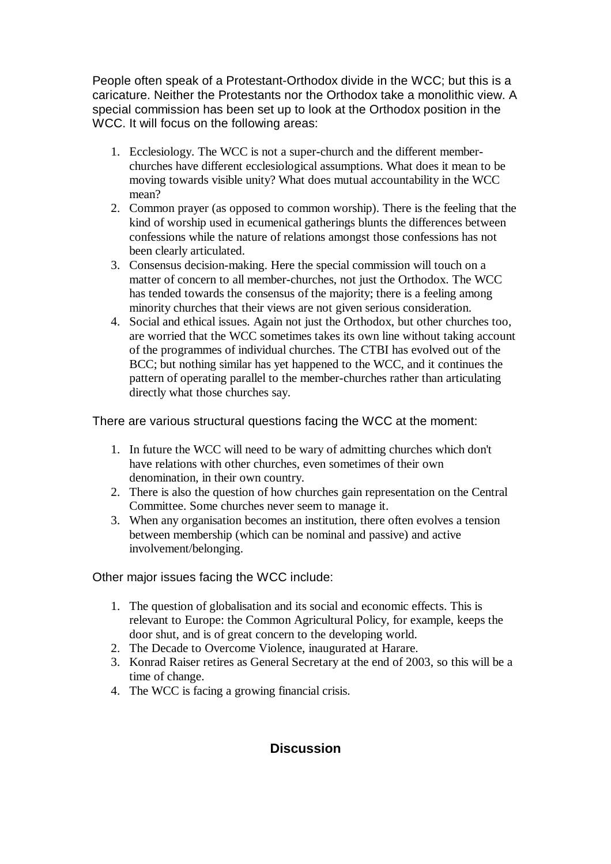People often speak of a Protestant-Orthodox divide in the WCC; but this is a caricature. Neither the Protestants nor the Orthodox take a monolithic view. A special commission has been set up to look at the Orthodox position in the WCC. It will focus on the following areas:

- 1. Ecclesiology. The WCC is not a super-church and the different memberchurches have different ecclesiological assumptions. What does it mean to be moving towards visible unity? What does mutual accountability in the WCC mean?
- 2. Common prayer (as opposed to common worship). There is the feeling that the kind of worship used in ecumenical gatherings blunts the differences between confessions while the nature of relations amongst those confessions has not been clearly articulated.
- 3. Consensus decision-making. Here the special commission will touch on a matter of concern to all member-churches, not just the Orthodox. The WCC has tended towards the consensus of the majority; there is a feeling among minority churches that their views are not given serious consideration.
- 4. Social and ethical issues. Again not just the Orthodox, but other churches too, are worried that the WCC sometimes takes its own line without taking account of the programmes of individual churches. The CTBI has evolved out of the BCC; but nothing similar has yet happened to the WCC, and it continues the pattern of operating parallel to the member-churches rather than articulating directly what those churches say.

There are various structural questions facing the WCC at the moment:

- 1. In future the WCC will need to be wary of admitting churches which don't have relations with other churches, even sometimes of their own denomination, in their own country.
- 2. There is also the question of how churches gain representation on the Central Committee. Some churches never seem to manage it.
- 3. When any organisation becomes an institution, there often evolves a tension between membership (which can be nominal and passive) and active involvement/belonging.

Other major issues facing the WCC include:

- 1. The question of globalisation and its social and economic effects. This is relevant to Europe: the Common Agricultural Policy, for example, keeps the door shut, and is of great concern to the developing world.
- 2. The Decade to Overcome Violence, inaugurated at Harare.
- 3. Konrad Raiser retires as General Secretary at the end of 2003, so this will be a time of change.
- 4. The WCC is facing a growing financial crisis.

# **Discussion**